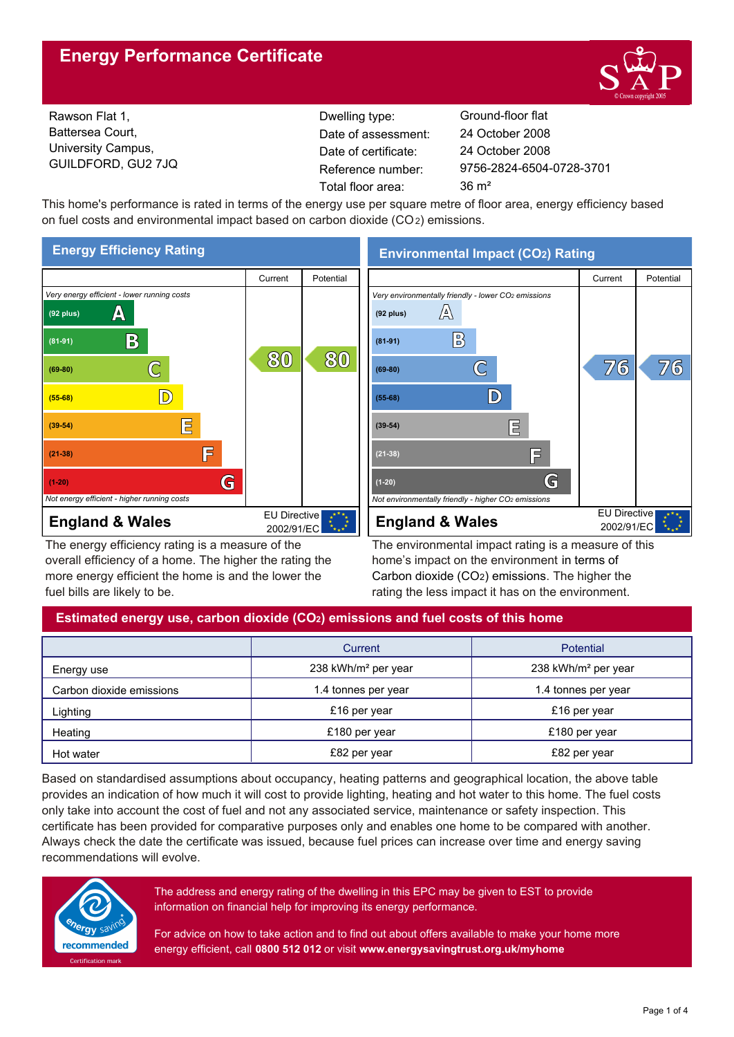# **Energy Performance Certificate**



Rawson Flat 1, Battersea Court, University Campus, GUILDFORD, GU2 7JQ

Dwelling type: Ground-floor flat Date of certificate: Total floor area: 36 m<sup>2</sup> Date of assessment:

9756-2824-6504-0728-3701 24 October 2008 24 October 2008

This home's performance is rated in terms of the energy use per square metre of floor area, energy efficiency based on fuel costs and environmental impact based on carbon dioxide (CO2) emissions.



The energy efficiency rating is a measure of the overall efficiency of a home. The higher the rating the more energy efficient the home is and the lower the fuel bills are likely to be.

**Environmental Impact (CO2) Rating**



The environmental impact rating is a measure of this home's impact on the environment in terms of Carbon dioxide (CO2) emissions. The higher the rating the less impact it has on the environment.

# **Estimated energy use, carbon dioxide (CO2) emissions and fuel costs of this home**

|                          | Current                         | Potential                       |  |
|--------------------------|---------------------------------|---------------------------------|--|
| Energy use               | 238 kWh/m <sup>2</sup> per year | 238 kWh/m <sup>2</sup> per year |  |
| Carbon dioxide emissions | 1.4 tonnes per year             | 1.4 tonnes per year             |  |
| Lighting                 | £16 per year                    | £16 per year                    |  |
| Heating                  | £180 per year                   | £180 per year                   |  |
| Hot water                | £82 per year                    | £82 per year                    |  |

Based on standardised assumptions about occupancy, heating patterns and geographical location, the above table provides an indication of how much it will cost to provide lighting, heating and hot water to this home. The fuel costs only take into account the cost of fuel and not any associated service, maintenance or safety inspection. This certificate has been provided for comparative purposes only and enables one home to be compared with another. Always check the date the certificate was issued, because fuel prices can increase over time and energy saving recommendations will evolve.



The address and energy rating of the dwelling in this EPC may be given to EST to provide information on financial help for improving its energy performance.

For advice on how to take action and to find out about offers available to make your home more energy efficient, call **0800 512 012** or visit **www.energysavingtrust.org.uk/myhome**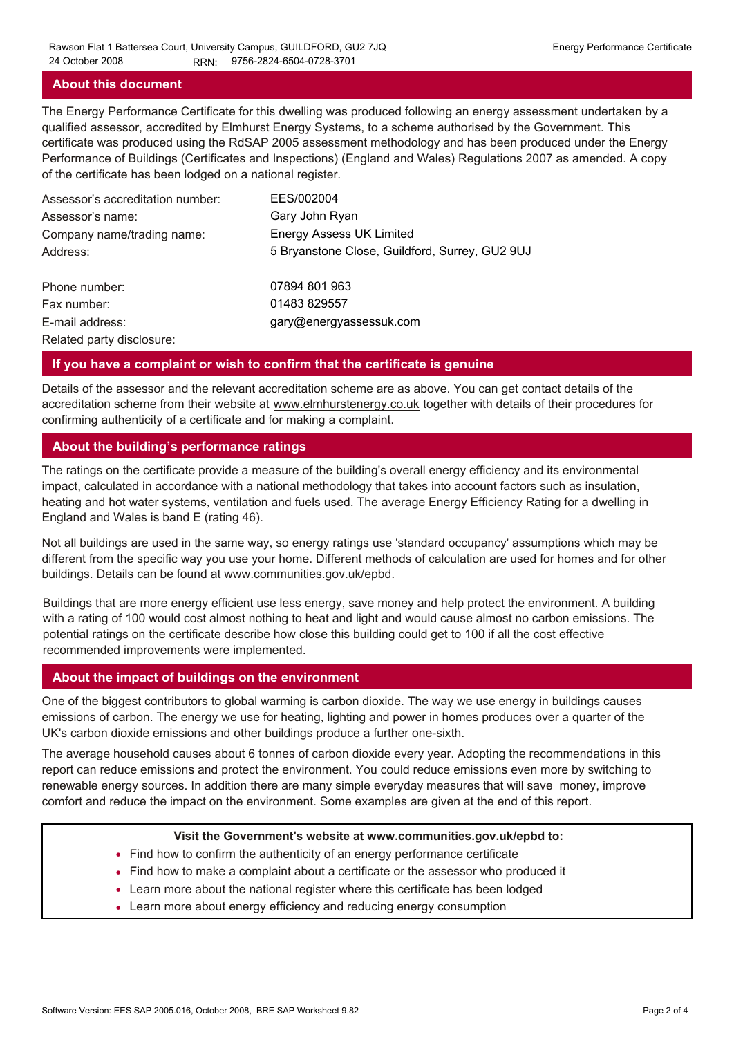#### **About this document**

The Energy Performance Certificate for this dwelling was produced following an energy assessment undertaken by a qualified assessor, accredited by Elmhurst Energy Systems, to a scheme authorised by the Government. This certificate was produced using the RdSAP 2005 assessment methodology and has been produced under the Energy Performance of Buildings (Certificates and Inspections) (England and Wales) Regulations 2007 as amended. A copy of the certificate has been lodged on a national register.

| Assessor's accreditation number: | EES/002004                                     |
|----------------------------------|------------------------------------------------|
| Assessor's name:                 | Gary John Ryan                                 |
| Company name/trading name:       | <b>Energy Assess UK Limited</b>                |
| Address:                         | 5 Bryanstone Close, Guildford, Surrey, GU2 9UJ |
| Phone number:                    | 07894 801 963                                  |
| Fax number:                      | 01483 829557                                   |
| E-mail address:                  | gary@energyassessuk.com                        |
| Related party disclosure:        |                                                |

#### **If you have a complaint or wish to confirm that the certificate is genuine**

Details of the assessor and the relevant accreditation scheme are as above. You can get contact details of the accreditation scheme from their website at www.elmhurstenergy.co.uk together with details of their procedures for confirming authenticity of a certificate and for making a complaint.

#### **About the building's performance ratings**

The ratings on the certificate provide a measure of the building's overall energy efficiency and its environmental impact, calculated in accordance with a national methodology that takes into account factors such as insulation, heating and hot water systems, ventilation and fuels used. The average Energy Efficiency Rating for a dwelling in England and Wales is band E (rating 46).

Not all buildings are used in the same way, so energy ratings use 'standard occupancy' assumptions which may be different from the specific way you use your home. Different methods of calculation are used for homes and for other buildings. Details can be found at www.communities.gov.uk/epbd.

Buildings that are more energy efficient use less energy, save money and help protect the environment. A building with a rating of 100 would cost almost nothing to heat and light and would cause almost no carbon emissions. The potential ratings on the certificate describe how close this building could get to 100 if all the cost effective recommended improvements were implemented.

#### **About the impact of buildings on the environment**

One of the biggest contributors to global warming is carbon dioxide. The way we use energy in buildings causes emissions of carbon. The energy we use for heating, lighting and power in homes produces over a quarter of the UK's carbon dioxide emissions and other buildings produce a further one-sixth.

The average household causes about 6 tonnes of carbon dioxide every year. Adopting the recommendations in this report can reduce emissions and protect the environment. You could reduce emissions even more by switching to renewable energy sources. In addition there are many simple everyday measures that will save money, improve comfort and reduce the impact on the environment. Some examples are given at the end of this report.

#### **Visit the Government's website at www.communities.gov.uk/epbd to:**

- Find how to confirm the authenticity of an energy performance certificate
- Find how to make a complaint about a certificate or the assessor who produced it •
- Learn more about the national register where this certificate has been lodged •
- Learn more about energy efficiency and reducing energy consumption •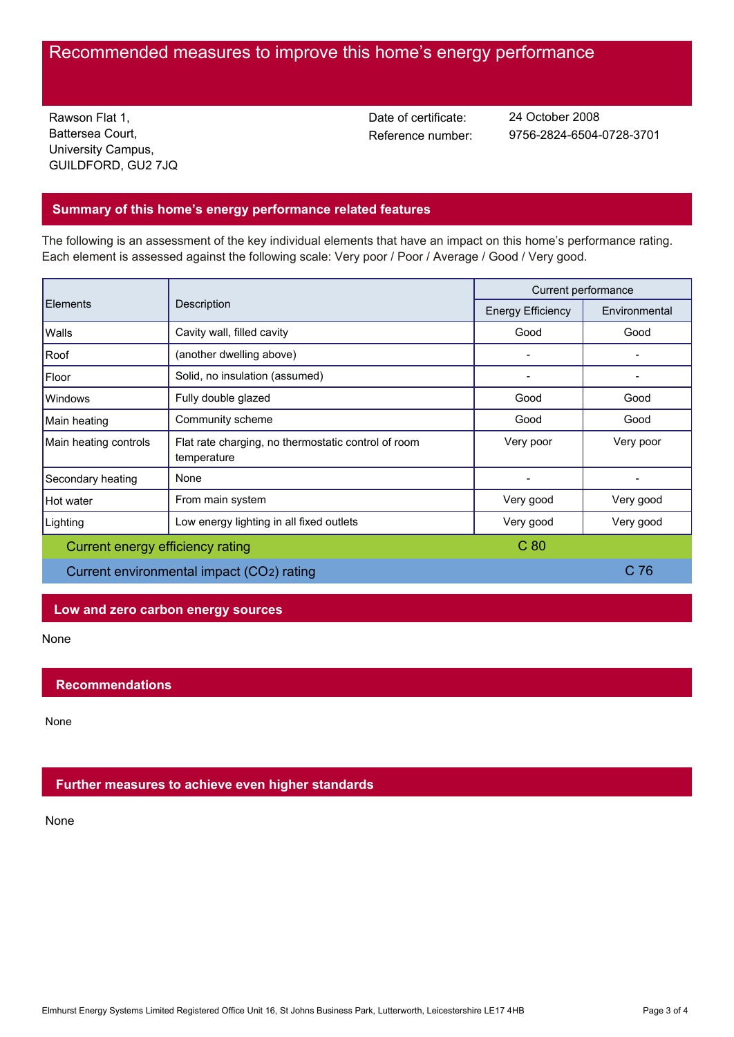# Recommended measures to improve this home's energy performance

Rawson Flat 1, Battersea Court, University Campus, GUILDFORD, GU2 7JQ Date of certificate:

Reference number: 9756-2824-6504-0728-3701 24 October 2008

# **Summary of this home's energy performance related features**

The following is an assessment of the key individual elements that have an impact on this home's performance rating. Each element is assessed against the following scale: Very poor / Poor / Average / Good / Very good.

| Elements                                  | Description                                                        | Current performance      |                 |
|-------------------------------------------|--------------------------------------------------------------------|--------------------------|-----------------|
|                                           |                                                                    | <b>Energy Efficiency</b> | Environmental   |
| Walls                                     | Cavity wall, filled cavity                                         | Good                     | Good            |
| Roof                                      | (another dwelling above)                                           |                          |                 |
| Floor                                     | Solid, no insulation (assumed)                                     |                          |                 |
| Windows                                   | Fully double glazed                                                | Good                     | Good            |
| Main heating                              | Community scheme                                                   | Good                     | Good            |
| Main heating controls                     | Flat rate charging, no thermostatic control of room<br>temperature | Very poor                | Very poor       |
| Secondary heating                         | None                                                               |                          |                 |
| Hot water                                 | From main system                                                   | Very good                | Very good       |
| Lighting                                  | Low energy lighting in all fixed outlets                           | Very good                | Very good       |
| Current energy efficiency rating          |                                                                    | C <sub>80</sub>          |                 |
| Current environmental impact (CO2) rating |                                                                    |                          | C <sub>76</sub> |

## **Low and zero carbon energy sources**

None

## **Recommendations**

None

## **Further measures to achieve even higher standards**

None